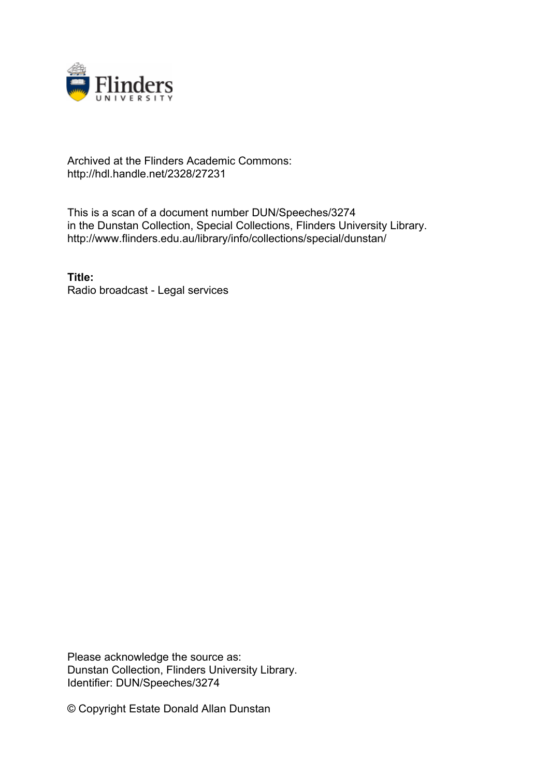

## Archived at the Flinders Academic Commons: http://hdl.handle.net/2328/27231

This is a scan of a document number DUN/Speeches/3274 in the Dunstan Collection, Special Collections, Flinders University Library. http://www.flinders.edu.au/library/info/collections/special/dunstan/

**Title:** Radio broadcast - Legal services

Please acknowledge the source as: Dunstan Collection, Flinders University Library. Identifier: DUN/Speeches/3274

© Copyright Estate Donald Allan Dunstan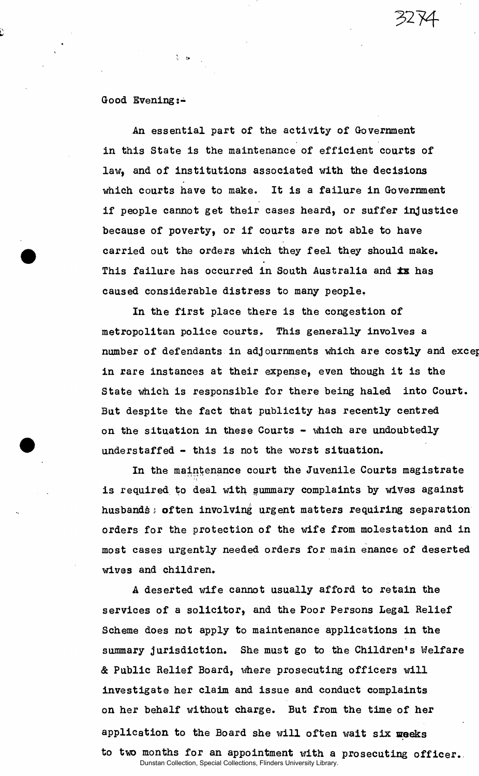*3274-*

## Good Evening:-

ે હ

An essential part of the activity of Government in this State is the maintenance of efficient courts of law, and of institutions associated with the decisions which courts have to make. It is a failure in Government if people cannot get their cases heard, or suffer injustice because of poverty, or if courts are not able to have carried out the orders which they feel they should make. This failure has occurred in South Australia and **ix** has caused considerable distress to many people.

In the first place there is the congestion of metropolitan police courts. This generally involves a number of defendants in adjournments which are costly and excep in rare instances at their expense, even though it is the State which is responsible for there being haled into Court. But despite the fact that publicity has recently centred on the situation in these Courts - which are undoubtedly understaffed - this is not the worst situation.

In the maintenance court the Juvenile Courts magistrate is required to deal with summary complaints by wives against husbandsi often involving urgent matters requiring separation orders for the protection of the wife from molestation and in most cases urgently needed orders for main enance of deserted wives and children.

*A* deserted wife cannot usually afford to retain the services of a solicitor, and the Poor Persons Legal Relief Scheme does not apply to maintenance applications in the summary jurisdiction. She must go to the Children's Welfare & Public Relief Board, where prosecuting officers will investigate her claim and issue and conduct complaints on her behalf without charge. But from the time of her application to the Board she will often wait six weeks to two months for an appointment with a prosecuting officer..

Dunstan Collection, Special Collections, Flinders University Library.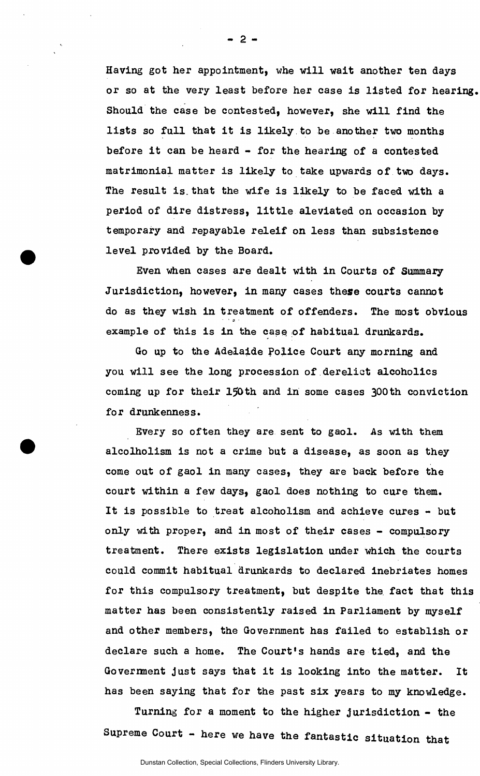Having got her appointment, whe will wait another ten days or so at the very least before her case is listed for hearing. Should the case be contested, however, she will find the lists so full that it is likely to be another two months before it can be heard - for the hearing of a contested matrimonial matter is likely to take upwards of two days. The result is.that the wife is likely to be faced with a period of dire distress, little aleviated on occasion by temporary and repayable releif on less than subsistence level provided by the Board.

Even when cases are dealt with in Courts of Summary Jurisdiction, however, in many cases these courts cannot do as they wish in treatment of offenders. The most obvious example of this is in the case of habitual drunkards.

Go up to the Adelaide Police Court any morning and you will see the long procession of derelict alcoholics coming up for their 150th and in some cases 300th conviction for drunkenness.

Every so often they are sent to gaol. As with them alcolholism is not a crime but a disease, as soon as they come out of gaol in many cases, they are back before the court within a few days, gaol does nothing to cure them. It is possible to treat alcoholism and achieve cures - but only with proper, and in most of their cases - compulsory treatment. There exists legislation under Which the courts could commit habitual drunkards to declared inebriates homes for this compulsory treatment, but despite the fact that this matter has been consistently raised in Parliament by myself and other members, the Government has failed to establish or declare such a home. The Court's hands are tied, and the Government just says that it is looking into the matter. It has been saying that for the past six years to my knowledge.

Turning for a moment to the higher jurisdiction - the Supreme Court - here we have the fantastic situation that

**- 2 -**